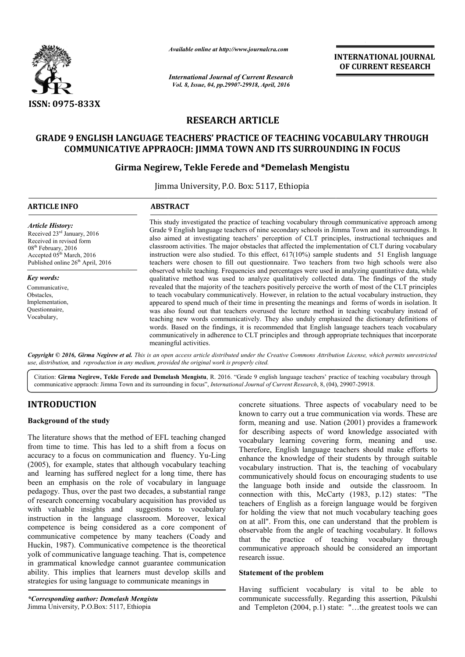

*Available online at http://www.journalcra.com*

# **RESEARCH ARTICLE**

# **GRADE 9 ENGLISH LANGUAGE TEACHERS' PRACTICE OF TEACHING VOCABULARY THROUGH**  E9 ENGLISH LANGUAGE TEACHERS' PRACTICE OF TEACHING VOCABULARY THI<br>COMMUNICATIVE APPRAOCH: JIMMA TOWN AND ITS SURROUNDING IN FOCUS

# **Girma Negirew, Tekle Ferede and \*Demelash Mengistu Demelash**

|                                                                                                                                                                                                                             |                                                                                                                                                                                                                                                                                                                                                                                                                                                                                                                                                                                                                                                                                                                                                                                                                                                                                                                                                                                                                    | <b>INTERNATIONAL JOURNAL</b><br>OF CURRENT RESEARCH                                                                                                                                                                                                                                                                                                                                                                                                                                                                                                                                                                                                                                                                                                                                                                                                                                                                                            |
|-----------------------------------------------------------------------------------------------------------------------------------------------------------------------------------------------------------------------------|--------------------------------------------------------------------------------------------------------------------------------------------------------------------------------------------------------------------------------------------------------------------------------------------------------------------------------------------------------------------------------------------------------------------------------------------------------------------------------------------------------------------------------------------------------------------------------------------------------------------------------------------------------------------------------------------------------------------------------------------------------------------------------------------------------------------------------------------------------------------------------------------------------------------------------------------------------------------------------------------------------------------|------------------------------------------------------------------------------------------------------------------------------------------------------------------------------------------------------------------------------------------------------------------------------------------------------------------------------------------------------------------------------------------------------------------------------------------------------------------------------------------------------------------------------------------------------------------------------------------------------------------------------------------------------------------------------------------------------------------------------------------------------------------------------------------------------------------------------------------------------------------------------------------------------------------------------------------------|
|                                                                                                                                                                                                                             | <b>International Journal of Current Research</b><br>Vol. 8, Issue, 04, pp.29907-29918, April, 2016                                                                                                                                                                                                                                                                                                                                                                                                                                                                                                                                                                                                                                                                                                                                                                                                                                                                                                                 |                                                                                                                                                                                                                                                                                                                                                                                                                                                                                                                                                                                                                                                                                                                                                                                                                                                                                                                                                |
| <b>ISSN: 0975-833X</b>                                                                                                                                                                                                      |                                                                                                                                                                                                                                                                                                                                                                                                                                                                                                                                                                                                                                                                                                                                                                                                                                                                                                                                                                                                                    |                                                                                                                                                                                                                                                                                                                                                                                                                                                                                                                                                                                                                                                                                                                                                                                                                                                                                                                                                |
|                                                                                                                                                                                                                             |                                                                                                                                                                                                                                                                                                                                                                                                                                                                                                                                                                                                                                                                                                                                                                                                                                                                                                                                                                                                                    | <b>RESEARCH ARTICLE</b>                                                                                                                                                                                                                                                                                                                                                                                                                                                                                                                                                                                                                                                                                                                                                                                                                                                                                                                        |
|                                                                                                                                                                                                                             |                                                                                                                                                                                                                                                                                                                                                                                                                                                                                                                                                                                                                                                                                                                                                                                                                                                                                                                                                                                                                    | <b>GRADE 9 ENGLISH LANGUAGE TEACHERS' PRACTICE OF TEACHING VOCABULARY THROUGH</b><br><b>COMMUNICATIVE APPRAOCH: JIMMA TOWN AND ITS SURROUNDING IN FOCUS</b>                                                                                                                                                                                                                                                                                                                                                                                                                                                                                                                                                                                                                                                                                                                                                                                    |
|                                                                                                                                                                                                                             |                                                                                                                                                                                                                                                                                                                                                                                                                                                                                                                                                                                                                                                                                                                                                                                                                                                                                                                                                                                                                    | Girma Negirew, Tekle Ferede and *Demelash Mengistu                                                                                                                                                                                                                                                                                                                                                                                                                                                                                                                                                                                                                                                                                                                                                                                                                                                                                             |
|                                                                                                                                                                                                                             |                                                                                                                                                                                                                                                                                                                                                                                                                                                                                                                                                                                                                                                                                                                                                                                                                                                                                                                                                                                                                    | Jimma University, P.O. Box: 5117, Ethiopia                                                                                                                                                                                                                                                                                                                                                                                                                                                                                                                                                                                                                                                                                                                                                                                                                                                                                                     |
| <b>ARTICLE INFO</b>                                                                                                                                                                                                         | <b>ABSTRACT</b>                                                                                                                                                                                                                                                                                                                                                                                                                                                                                                                                                                                                                                                                                                                                                                                                                                                                                                                                                                                                    |                                                                                                                                                                                                                                                                                                                                                                                                                                                                                                                                                                                                                                                                                                                                                                                                                                                                                                                                                |
| <b>Article History:</b><br>Received 23 <sup>rd</sup> January, 2016<br>Received in revised form<br>08 <sup>th</sup> February, 2016<br>Accepted 05 <sup>th</sup> March, 2016<br>Published online 26 <sup>th</sup> April, 2016 |                                                                                                                                                                                                                                                                                                                                                                                                                                                                                                                                                                                                                                                                                                                                                                                                                                                                                                                                                                                                                    | This study investigated the practice of teaching vocabulary through communicative approach among<br>Grade 9 English language teachers of nine secondary schools in Jimma Town and its surroundings. It<br>also aimed at investigating teachers' perception of CLT principles, instructional techniques and<br>classroom activities. The major obstacles that affected the implementation of CLT during vocabulary<br>instruction were also studied. To this effect, $617(10\%)$ sample students and 51 English language<br>teachers were chosen to fill out questionnaire. Two teachers from two high schools were also                                                                                                                                                                                                                                                                                                                        |
| Key words:<br>Communicative,<br>Obstacles,<br>Implementation,<br>Questionnaire,<br>Vocabulary,                                                                                                                              | meaningful activities.                                                                                                                                                                                                                                                                                                                                                                                                                                                                                                                                                                                                                                                                                                                                                                                                                                                                                                                                                                                             | observed while teaching. Frequencies and percentages were used in analyzing quantitative data, while<br>qualitative method was used to analyze qualitatively collected data. The findings of the study<br>revealed that the majority of the teachers positively perceive the worth of most of the CLT principles<br>to teach vocabulary communicatively. However, in relation to the actual vocabulary instruction, they<br>appeared to spend much of their time in presenting the meanings and forms of words in isolation. It<br>was also found out that teachers overused the lecture method in teaching vocabulary instead of<br>teaching new words communicatively. They also unduly emphasized the dictionary definitions of<br>words. Based on the findings, it is recommended that English language teachers teach vocabulary<br>communicatively in adherence to CLT principles and through appropriate techniques that incorporate    |
|                                                                                                                                                                                                                             | use, distribution, and reproduction in any medium, provided the original work is properly cited.                                                                                                                                                                                                                                                                                                                                                                                                                                                                                                                                                                                                                                                                                                                                                                                                                                                                                                                   | Copyright © 2016, Girma Negirew et al. This is an open access article distributed under the Creative Commons Attribution License, which permits unrestricted<br>Citation: Girma Negirew, Tekle Ferede and Demelash Mengistu, R. 2016. "Grade 9 english language teachers' practice of teaching vocabulary through                                                                                                                                                                                                                                                                                                                                                                                                                                                                                                                                                                                                                              |
|                                                                                                                                                                                                                             |                                                                                                                                                                                                                                                                                                                                                                                                                                                                                                                                                                                                                                                                                                                                                                                                                                                                                                                                                                                                                    | communicative appraoch: Jimma Town and its surrounding in focus", International Journal of Current Research, 8, (04), 29907-29918.                                                                                                                                                                                                                                                                                                                                                                                                                                                                                                                                                                                                                                                                                                                                                                                                             |
| <b>INTRODUCTION</b>                                                                                                                                                                                                         |                                                                                                                                                                                                                                                                                                                                                                                                                                                                                                                                                                                                                                                                                                                                                                                                                                                                                                                                                                                                                    | concrete situations. Three aspects of vocabulary need to be                                                                                                                                                                                                                                                                                                                                                                                                                                                                                                                                                                                                                                                                                                                                                                                                                                                                                    |
| <b>Background of the study</b>                                                                                                                                                                                              |                                                                                                                                                                                                                                                                                                                                                                                                                                                                                                                                                                                                                                                                                                                                                                                                                                                                                                                                                                                                                    | known to carry out a true communication via words. These are<br>form, meaning and use. Nation (2001) provides a framework                                                                                                                                                                                                                                                                                                                                                                                                                                                                                                                                                                                                                                                                                                                                                                                                                      |
| strategies for using language to communicate meanings in                                                                                                                                                                    | The literature shows that the method of EFL teaching changed<br>from time to time. This has led to a shift from a focus on<br>accuracy to a focus on communication and fluency. Yu-Ling<br>(2005), for example, states that although vocabulary teaching<br>and learning has suffered neglect for a long time, there has<br>been an emphasis on the role of vocabulary in language<br>pedagogy. Thus, over the past two decades, a substantial range<br>of research concerning vocabulary acquisition has provided us<br>with valuable insights and suggestions to vocabulary<br>instruction in the language classroom. Moreover, lexical<br>competence is being considered as a core component of<br>communicative competence by many teachers (Coady and<br>Huckin, 1987). Communicative competence is the theoretical<br>yolk of communicative language teaching. That is, competence<br>in grammatical knowledge cannot guarantee communication<br>ability. This implies that learners must develop skills and | for describing aspects of word knowledge associated with<br>vocabulary learning covering form, meaning and<br>use.<br>Therefore, English language teachers should make efforts to<br>enhance the knowledge of their students by through suitable<br>vocabulary instruction. That is, the teaching of vocabulary<br>communicatively should focus on encouraging students to use<br>the language both inside and outside the classroom. In<br>connection with this, McCarty (1983, p.12) states: "The<br>teachers of English as a foreign language would be forgiven<br>for holding the view that not much vocabulary teaching goes<br>on at all". From this, one can understand that the problem is<br>observable from the angle of teaching vocabulary. It follows<br>the practice of teaching vocabulary<br>that<br>through<br>communicative approach should be considered an important<br>research issue.<br><b>Statement of the problem</b> |
| *Corresponding author: Demelash Mengistu<br>Jimma University, P.O.Box: 5117, Ethiopia                                                                                                                                       |                                                                                                                                                                                                                                                                                                                                                                                                                                                                                                                                                                                                                                                                                                                                                                                                                                                                                                                                                                                                                    | Having sufficient vocabulary is vital to be able to<br>communicate successfully. Regarding this assertion, Pikulshi<br>and Templeton (2004, p.1) state: "the greatest tools we can                                                                                                                                                                                                                                                                                                                                                                                                                                                                                                                                                                                                                                                                                                                                                             |

# **INTRODUCTION**

## **Background of the study**

## **Statement of the problem**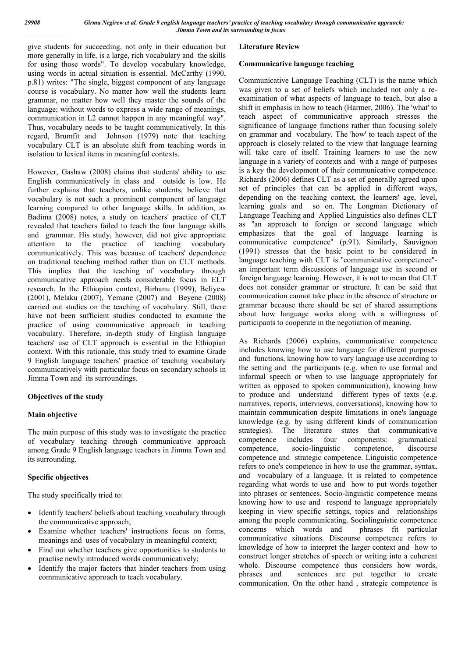give students for succeeding, not only in their education but more generally in life, is a large, rich vocabulary and the skills for using those words". To develop vocabulary knowledge, using words in actual situation is essential. McCarthy (1990, p.81) writes: "The single, biggest component of any language course is vocabulary. No matter how well the students learn grammar, no matter how well they master the sounds of the language; without words to express a wide range of meanings, communication in L2 cannot happen in any meaningful way". Thus, vocabulary needs to be taught communicatively. In this regard, Brumfit and Johnson (1979) note that teaching vocabulary CLT is an absolute shift from teaching words in isolation to lexical items in meaningful contexts.

However, Gashaw (2008) claims that students' ability to use English communicatively in class and outside is low. He further explains that teachers, unlike students, believe that vocabulary is not such a prominent component of language learning compared to other language skills. In addition, as Badima (2008) notes, a study on teachers' practice of CLT revealed that teachers failed to teach the four language skills and grammar. His study, however, did not give appropriate attention to the practice of teaching vocabulary communicatively. This was because of teachers' dependence on traditional teaching method rather than on CLT methods. This implies that the teaching of vocabulary through communicative approach needs considerable focus in ELT research. In the Ethiopian context, Birhanu (1999), Beliyew (2001), Melaku (2007), Yemane (2007) and Beyene (2008) carried out studies on the teaching of vocabulary. Still, there have not been sufficient studies conducted to examine the practice of using communicative approach in teaching vocabulary. Therefore, in-depth study of English language teachers' use of CLT approach is essential in the Ethiopian context. With this rationale, this study tried to examine Grade 9 English language teachers' practice of teaching vocabulary communicatively with particular focus on secondary schools in Jimma Town and its surroundings.

## **Objectives of the study**

## **Main objective**

The main purpose of this study was to investigate the practice of vocabulary teaching through communicative approach among Grade 9 English language teachers in Jimma Town and its surrounding.

# **Specific objectives**

The study specifically tried to:

- Identify teachers' beliefs about teaching vocabulary through the communicative approach;
- Examine whether teachers' instructions focus on forms, meanings and uses of vocabulary in meaningful context;
- Find out whether teachers give opportunities to students to practise newly introduced words communicatively;
- Identify the major factors that hinder teachers from using communicative approach to teach vocabulary.

# **Literature Review**

## **Communicative language teaching**

Communicative Language Teaching (CLT) is the name which was given to a set of beliefs which included not only a reexamination of what aspects of language to teach, but also a shift in emphasis in how to teach (Harmer, 2006). The 'what' to teach aspect of communicative approach stresses the significance of language functions rather than focusing solely on grammar and vocabulary. The 'how' to teach aspect of the approach is closely related to the view that language learning will take care of itself. Training learners to use the new language in a variety of contexts and with a range of purposes is a key the development of their communicative competence. Richards (2006) defines CLT as a set of generally agreed upon set of principles that can be applied in different ways, depending on the teaching context, the learners' age, level, learning goals and so on. The Longman Dictionary of Language Teaching and Applied Linguistics also defines CLT as ''an approach to foreign or second language which emphasizes that the goal of language learning is communicative competence" (p.91). Similarly, Sauvignon (1991) stresses that the basic point to be considered in language teaching with CLT is ''communicative competence'' an important term discussions of language use in second or foreign language learning. However, it is not to mean that CLT does not consider grammar or structure. It can be said that communication cannot take place in the absence of structure or grammar because there should be set of shared assumptions about how language works along with a willingness of participants to cooperate in the negotiation of meaning.

As Richards (2006) explains, communicative competence includes knowing how to use language for different purposes and functions, knowing how to vary language use according to the setting and the participants (e.g. when to use formal and informal speech or when to use language appropriately for written as opposed to spoken communication), knowing how to produce and understand different types of texts (e.g. narratives, reports, interviews, conversations), knowing how to maintain communication despite limitations in one's language knowledge (e.g. by using different kinds of communication strategies). The literature states that communicative competence includes four components: grammatical competence, socio-linguistic competence, discourse competence and strategic competence. Linguistic competence refers to one's competence in how to use the grammar, syntax, and vocabulary of a language. It is related to competence regarding what words to use and how to put words together into phrases or sentences. Socio-linguistic competence means knowing how to use and respond to language appropriately keeping in view specific settings, topics and relationships among the people communicating. Sociolinguistic competence concerns which words and phrases fit particular communicative situations. Discourse competence refers to knowledge of how to interpret the larger context and how to construct longer stretches of speech or writing into a coherent whole. Discourse competence thus considers how words, phrases and sentences are put together to create communication. On the other hand , strategic competence is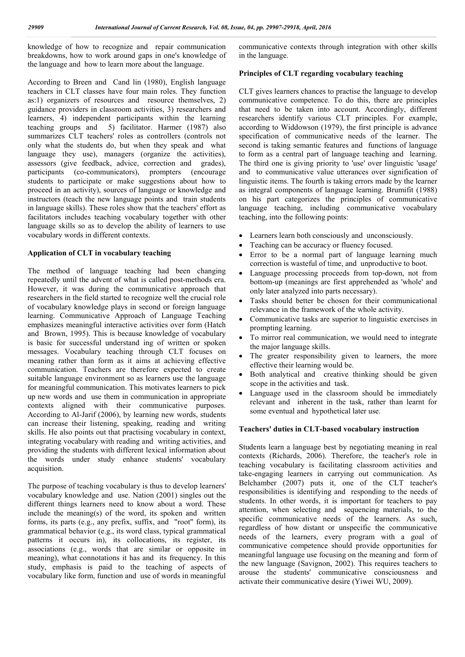knowledge of how to recognize and repair communication breakdowns, how to work around gaps in one's knowledge of the language and how to learn more about the language.

According to Breen and Cand lin (1980), English language teachers in CLT classes have four main roles. They function as:1) organizers of resources and resource themselves, 2) guidance providers in classroom activities, 3) researchers and learners, 4) independent participants within the learning teaching groups and 5) facilitator. Harmer (1987) also summarizes CLT teachers' roles as controllers (controls not only what the students do, but when they speak and what language they use), managers (organize the activities), assessors (give feedback, advice, correction and grades), participants (co-communicators), prompters (encourage students to participate or make suggestions about how to proceed in an activity), sources of language or knowledge and instructors (teach the new language points and train students in language skills). These roles show that the teachers' effort as facilitators includes teaching vocabulary together with other language skills so as to develop the ability of learners to use vocabulary words in different contexts.

## **Application of CLT in vocabulary teaching**

The method of language teaching had been changing repeatedly until the advent of what is called post-methods era. However, it was during the communicative approach that researchers in the field started to recognize well the crucial role of vocabulary knowledge plays in second or foreign language learning. Communicative Approach of Language Teaching emphasizes meaningful interactive activities over form (Hatch and Brown, 1995). This is because knowledge of vocabulary is basic for successful understand ing of written or spoken messages. Vocabulary teaching through CLT focuses on meaning rather than form as it aims at achieving effective communication. Teachers are therefore expected to create suitable language environment so as learners use the language for meaningful communication. This motivates learners to pick up new words and use them in communication in appropriate contexts aligned with their communicative purposes. According to Al-Jarif (2006), by learning new words, students can increase their listening, speaking, reading and writing skills. He also points out that practising vocabulary in context, integrating vocabulary with reading and writing activities, and providing the students with different lexical information about the words under study enhance students' vocabulary acquisition.

The purpose of teaching vocabulary is thus to develop learners' vocabulary knowledge and use. Nation (2001) singles out the different things learners need to know about a word. These include the meaning(s) of the word, its spoken and written forms, its parts (e.g., any prefix, suffix, and "root" form), its grammatical behavior (e.g., its word class, typical grammatical patterns it occurs in), its collocations, its register, its associations (e.g., words that are similar or opposite in meaning), what connotations it has and its frequency. In this study, emphasis is paid to the teaching of aspects of vocabulary like form, function and use of words in meaningful communicative contexts through integration with other skills in the language.

## **Principles of CLT regarding vocabulary teaching**

CLT gives learners chances to practise the language to develop communicative competence. To do this, there are principles that need to be taken into account. Accordingly, different researchers identify various CLT principles. For example, according to Widdowson (1979), the first principle is advance specification of communicative needs of the learner. The second is taking semantic features and functions of language to form as a central part of language teaching and learning. The third one is giving priority to 'use' over linguistic 'usage' and to communicative value utterances over signification of linguistic items. The fourth is taking errors made by the learner as integral components of language learning. Brumifit (1988) on his part categorizes the principles of communicative language teaching, including communicative vocabulary teaching, into the following points:

- Learners learn both consciously and unconsciously.
- Teaching can be accuracy or fluency focused.
- Error to be a normal part of language learning much correction is wasteful of time, and unproductive to boot.
- Language processing proceeds from top-down, not from bottom-up (meanings are first apprehended as 'whole' and only later analyzed into parts necessary).
- Tasks should better be chosen for their communicational relevance in the framework of the whole activity.
- Communicative tasks are superior to linguistic exercises in prompting learning.
- To mirror real communication, we would need to integrate the major language skills.
- The greater responsibility given to learners, the more effective their learning would be.
- Both analytical and creative thinking should be given scope in the activities and task.
- Language used in the classroom should be immediately relevant and inherent in the task, rather than learnt for some eventual and hypothetical later use.

### **Teachers' duties in CLT-based vocabulary instruction**

Students learn a language best by negotiating meaning in real contexts (Richards, 2006). Therefore, the teacher's role in teaching vocabulary is facilitating classroom activities and take-engaging learners in carrying out communication. As Belchamber (2007) puts it, one of the CLT teacher's responsibilities is identifying and responding to the needs of students. In other words, it is important for teachers to pay attention, when selecting and sequencing materials, to the specific communicative needs of the learners. As such, regardless of how distant or unspecific the communicative needs of the learners, every program with a goal of communicative competence should provide opportunities for meaningful language use focusing on the meaning and form of the new language (Savignon, 2002). This requires teachers to arouse the students' communicative consciousness and activate their communicative desire (Yiwei WU, 2009).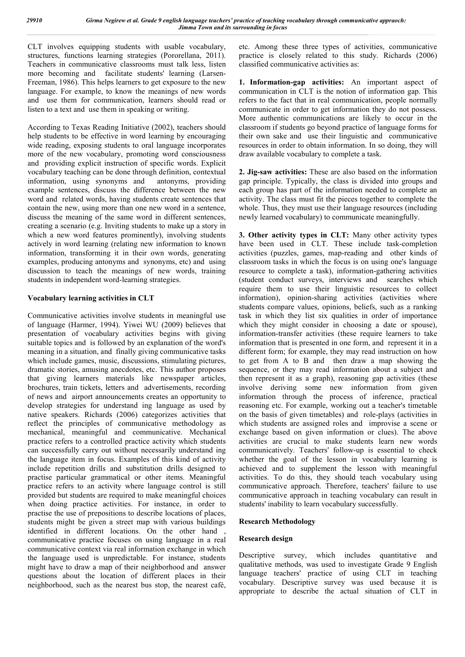CLT involves equipping students with usable vocabulary, structures, functions learning strategies (Pororellana, 2011). Teachers in communicative classrooms must talk less, listen more becoming and facilitate students' learning (Larsen-Freeman, 1986). This helps learners to get exposure to the new language. For example, to know the meanings of new words and use them for communication, learners should read or listen to a text and use them in speaking or writing.

According to Texas Reading Initiative (2002), teachers should help students to be effective in word learning by encouraging wide reading, exposing students to oral language incorporates more of the new vocabulary, promoting word consciousness and providing explicit instruction of specific words. Explicit vocabulary teaching can be done through definition, contextual information, using synonyms and antonyms, providing example sentences, discuss the difference between the new word and related words, having students create sentences that contain the new, using more than one new word in a sentence, discuss the meaning of the same word in different sentences, creating a scenario (e.g. Inviting students to make up a story in which a new word features prominently), involving students actively in word learning (relating new information to known information, transforming it in their own words, generating examples, producing antonyms and synonyms, etc) and using discussion to teach the meanings of new words, training students in independent word-learning strategies.

# **Vocabulary learning activities in CLT**

Communicative activities involve students in meaningful use of language (Harmer, 1994). Yiwei WU (2009) believes that presentation of vocabulary activities begins with giving suitable topics and is followed by an explanation of the word's meaning in a situation, and finally giving communicative tasks which include games, music, discussions, stimulating pictures, dramatic stories, amusing anecdotes, etc. This author proposes that giving learners materials like newspaper articles, brochures, train tickets, letters and advertisements, recording of news and airport announcements creates an opportunity to develop strategies for understand ing language as used by native speakers. Richards (2006) categorizes activities that reflect the principles of communicative methodology as mechanical, meaningful and communicative. Mechanical practice refers to a controlled practice activity which students can successfully carry out without necessarily understand ing the language item in focus. Examples of this kind of activity include repetition drills and substitution drills designed to practise particular grammatical or other items. Meaningful practice refers to an activity where language control is still provided but students are required to make meaningful choices when doing practice activities. For instance, in order to practise the use of prepositions to describe locations of places, students might be given a street map with various buildings identified in different locations. On the other hand , communicative practice focuses on using language in a real communicative context via real information exchange in which the language used is unpredictable. For instance, students might have to draw a map of their neighborhood and answer questions about the location of different places in their neighborhood, such as the nearest bus stop, the nearest café, etc. Among these three types of activities, communicative practice is closely related to this study. Richards (2006) classified communicative activities as:

**1. Information-gap activities:** An important aspect of communication in CLT is the notion of information gap. This refers to the fact that in real communication, people normally communicate in order to get information they do not possess. More authentic communications are likely to occur in the classroom if students go beyond practice of language forms for their own sake and use their linguistic and communicative resources in order to obtain information. In so doing, they will draw available vocabulary to complete a task.

**2. Jig-saw activities:** These are also based on the information gap principle. Typically, the class is divided into groups and each group has part of the information needed to complete an activity. The class must fit the pieces together to complete the whole. Thus, they must use their language resources (including newly learned vocabulary) to communicate meaningfully.

**3. Other activity types in CLT:** Many other activity types have been used in CLT. These include task-completion activities (puzzles, games, map-reading and other kinds of classroom tasks in which the focus is on using one's language resource to complete a task), information-gathering activities (student conduct surveys, interviews and searches which require them to use their linguistic resources to collect information), opinion-sharing activities (activities where students compare values, opinions, beliefs, such as a ranking task in which they list six qualities in order of importance which they might consider in choosing a date or spouse), information-transfer activities (these require learners to take information that is presented in one form, and represent it in a different form; for example, they may read instruction on how to get from A to B and then draw a map showing the sequence, or they may read information about a subject and then represent it as a graph), reasoning gap activities (these involve deriving some new information from given information through the process of inference, practical reasoning etc. For example, working out a teacher's timetable on the basis of given timetables) and role-plays (activities in which students are assigned roles and improvise a scene or exchange based on given information or clues). The above activities are crucial to make students learn new words communicatively. Teachers' follow-up is essential to check whether the goal of the lesson in vocabulary learning is achieved and to supplement the lesson with meaningful activities. To do this, they should teach vocabulary using communicative approach. Therefore, teachers' failure to use communicative approach in teaching vocabulary can result in students' inability to learn vocabulary successfully.

# **Research Methodology**

# **Research design**

Descriptive survey, which includes quantitative and qualitative methods, was used to investigate Grade 9 English language teachers' practice of using CLT in teaching vocabulary. Descriptive survey was used because it is appropriate to describe the actual situation of CLT in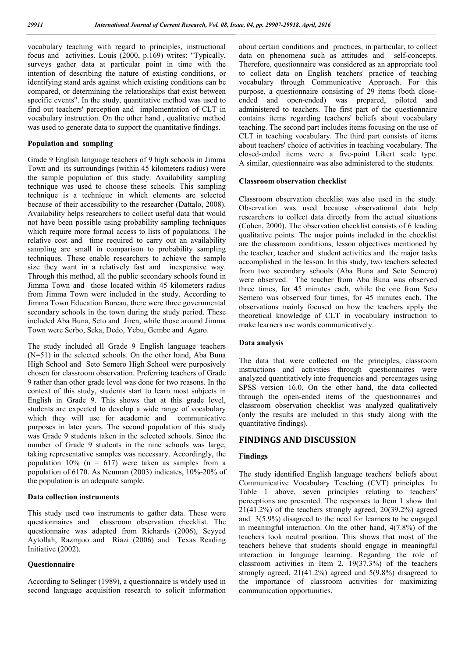vocabulary teaching with regard to principles, instructional focus and activities. Louis (2000, p.169) writes: "Typically, surveys gather data at particular point in time with the intention of describing the nature of existing conditions, or identifying stand ards against which existing conditions can be compared, or determining the relationships that exist between specific events". In the study, quantitative method was used to find out teachers' perception and implementation of CLT in vocabulary instruction. On the other hand , qualitative method was used to generate data to support the quantitative findings.

## **Population and sampling**

Grade 9 English language teachers of 9 high schools in Jimma Town and its surroundings (within 45 kilometers radius) were the sample population of this study. Availability sampling technique was used to choose these schools. This sampling technique is a technique in which elements are selected because of their accessibility to the researcher (Dattalo, 2008). Availability helps researchers to collect useful data that would not have been possible using probability sampling techniques which require more formal access to lists of populations. The relative cost and time required to carry out an availability sampling are small in comparison to probability sampling techniques. These enable researchers to achieve the sample size they want in a relatively fast and inexpensive way. Through this method, all the public secondary schools found in Jimma Town and those located within 45 kilometers radius from Jimma Town were included in the study. According to Jimma Town Education Bureau, there were three governmental secondary schools in the town during the study period. These included Aba Buna, Seto and Jiren, while those around Jimma Town were Serbo, Seka, Dedo, Yebu, Gembe and Agaro.

The study included all Grade 9 English language teachers (N=51) in the selected schools. On the other hand, Aba Buna High School and Seto Semero High School were purposively chosen for classroom observation. Preferring teachers of Grade 9 rather than other grade level was done for two reasons. In the context of this study, students start to learn most subjects in English in Grade 9. This shows that at this grade level, students are expected to develop a wide range of vocabulary which they will use for academic and communicative purposes in later years. The second population of this study was Grade 9 students taken in the selected schools. Since the number of Grade 9 students in the nine schools was large, taking representative samples was necessary. Accordingly, the population  $10\%$  (n = 617) were taken as samples from a population of 6170. As Neuman (2003) indicates, 10%-20% of the population is an adequate sample.

#### **Data collection instruments**

This study used two instruments to gather data. These were questionnaires and classroom observation checklist. The questionnaire was adapted from Richards (2006), Seyyed Aytollah, Razmjoo and Riazi (2006) and Texas Reading Initiative (2002).

#### **Questionnaire**

According to Selinger (1989), a questionnaire is widely used in second language acquisition research to solicit information about certain conditions and practices, in particular, to collect data on phenomena such as attitudes and self-concepts. Therefore, questionnaire was considered as an appropriate tool to collect data on English teachers' practice of teaching vocabulary through Communicative Approach. For this purpose, a questionnaire consisting of 29 items (both closeended and open-ended) was prepared, piloted and administered to teachers. The first part of the questionnaire contains items regarding teachers' beliefs about vocabulary teaching. The second part includes items focusing on the use of CLT in teaching vocabulary. The third part consists of items about teachers' choice of activities in teaching vocabulary. The closed-ended items were a five-point Likert scale type. A similar, questionnaire was also administered to the students.

#### **Classroom observation checklist**

Classroom observation checklist was also used in the study. Observation was used because observational data help researchers to collect data directly from the actual situations (Cohen, 2000). The observation checklist consists of 6 leading qualitative points. The major points included in the checklist are the classroom conditions, lesson objectives mentioned by the teacher, teacher and student activities and the major tasks accomplished in the lesson. In this study, two teachers selected from two secondary schools (Aba Buna and Seto Semero) were observed. The teacher from Aba Buna was observed three times, for 45 minutes each, while the one from Seto Semero was observed four times, for 45 minutes each. The observations mainly focused on how the teachers apply the theoretical knowledge of CLT in vocabulary instruction to make learners use words communicatively.

#### **Data analysis**

The data that were collected on the principles, classroom instructions and activities through questionnaires were analyzed quantitatively into frequencies and percentages using SPSS version 16.0. On the other hand, the data collected through the open-ended items of the questionnaires and classroom observation checklist was analyzed qualitatively (only the results are included in this study along with the quantitative findings).

## **FINDINGS AND DISCUSSION**

### **Findings**

The study identified English language teachers' beliefs about Communicative Vocabulary Teaching (CVT) principles. In Table 1 above, seven principles relating to teachers' perceptions are presented. The responses to Item 1 show that  $21(41.2\%)$  of the teachers strongly agreed,  $20(39.2\%)$  agreed and 3(5.9%) disagreed to the need for learners to be engaged in meaningful interaction. On the other hand, 4(7.8%) of the teachers took neutral position. This shows that most of the teachers believe that students should engage in meaningful interaction in language learning. Regarding the role of classroom activities in Item 2, 19(37.3%) of the teachers strongly agreed, 21(41.2%) agreed and 5(9.8%) disagreed to the importance of classroom activities for maximizing communication opportunities.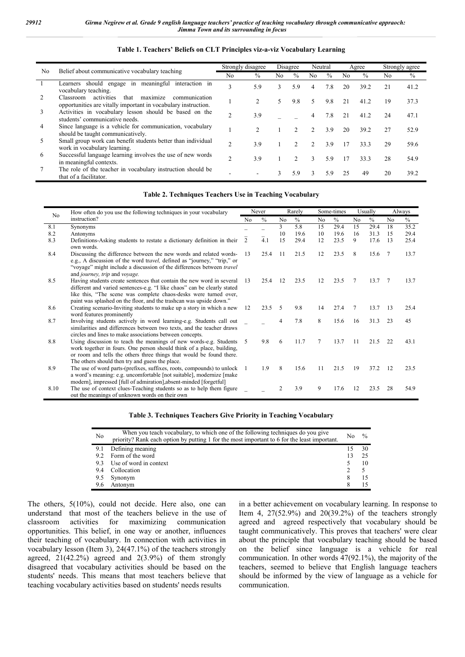| N <sub>0</sub> | Belief about communicative vocabulary teaching                                                                                 | Strongly disagree |      | Disagree |               | Neutral       |      | Agree |               |    | Strongly agree |
|----------------|--------------------------------------------------------------------------------------------------------------------------------|-------------------|------|----------|---------------|---------------|------|-------|---------------|----|----------------|
|                |                                                                                                                                | No                | $\%$ | No       | $\frac{0}{0}$ | No            | $\%$ | No.   | $\frac{0}{0}$ | No | $\frac{0}{0}$  |
|                | should engage in meaningful interaction in<br>Learners<br>vocabulary teaching.                                                 | 3                 | 5.9  | 3        | 5.9           | 4             | 7.8  | 20    | 39.2          | 21 | 41.2           |
| $\mathcal{L}$  | activities<br>that<br>communication<br>Classroom<br>maximize<br>opportunities are vitally important in vocabulary instruction. |                   | 2    | 5        | 9.8           | 5.            | 9.8  | 21    | 41.2          | 19 | 37.3           |
| 3              | Activities in vocabulary lesson should be based on the<br>students' communicative needs.                                       |                   | 3.9  |          |               | 4             | 7.8  | 21    | 41.2          | 24 | 47.1           |
| $\overline{4}$ | Since language is a vehicle for communication, vocabulary<br>should be taught communicatively.                                 |                   | 2    |          |               | 2             | 3.9  | 20    | 39.2          | 27 | 52.9           |
| 5              | Small group work can benefit students better than individual<br>work in vocabulary learning.                                   | C                 | 3.9  |          | $\mathcal{L}$ | 2             | 3.9  | 17    | 33.3          | 29 | 59.6           |
| 6              | Successful language learning involves the use of new words<br>in meaningful contexts.                                          | $\overline{c}$    | 3.9  |          | $\mathcal{L}$ | 3             | 5.9  | 17    | 33.3          | 28 | 54.9           |
|                | The role of the teacher in vocabulary instruction should be<br>that of a facilitator.                                          |                   | ۰    | 3        | 5.9           | $\mathcal{L}$ | 59   | 25    | 49            | 20 | 39.2           |

#### **Table 1. Teachers' Beliefs on CLT Principles viz-a-viz Vocabulary Learning**

### **Table 2. Techniques Teachers Use in Teaching Vocabulary**

|                | How often do you use the following techniques in your vocabulary                                                                                                                                                                                                                             |                | Never         | Rarely         |      |                | Some-times | <b>Usually</b> |      | Always         |      |
|----------------|----------------------------------------------------------------------------------------------------------------------------------------------------------------------------------------------------------------------------------------------------------------------------------------------|----------------|---------------|----------------|------|----------------|------------|----------------|------|----------------|------|
| N <sub>0</sub> | instruction?                                                                                                                                                                                                                                                                                 | N <sub>0</sub> | $\frac{0}{0}$ | N <sub>0</sub> | $\%$ | N <sub>0</sub> | $\%$       | N <sub>0</sub> | $\%$ | N <sub>0</sub> | $\%$ |
| 8.1            | Synonyms                                                                                                                                                                                                                                                                                     |                |               | 3              | 5.8  | 15             | 29.4       | 15             | 29.4 | 18             | 35.2 |
| 8.2            | Antonyms                                                                                                                                                                                                                                                                                     |                |               | 10             | 19.6 | 10             | 19.6       | 16             | 31.3 | 15             | 29.4 |
| 8.3            | Definitions-Asking students to restate a dictionary definition in their<br>own words.                                                                                                                                                                                                        | -2             | 4.1           | 15             | 29.4 | 12             | 23.5       | 9              | 17.6 | 13             | 25.4 |
| 8.4            | Discussing the difference between the new words and related words-<br>e.g., A discussion of the word travel, defined as "journey," "trip," or<br>"voyage" might include a discussion of the differences between <i>travel</i><br>and journey, trip and voyage.                               | 13             | 25.4          | -11            | 21.5 | 12             | 23.5       | 8              | 15.6 | -7             | 13.7 |
| 8.5            | Having students create sentences that contain the new word in several<br>different and varied sentences-e.g. "I like chaos" can be clearly stated<br>like this, "The scene was complete chaos-desks were turned over,<br>paint was splashed on the floor, and the trashcan was upside down." | 13             | 25.4          | 12             | 23.5 | 12             | 23.5       | 7              | 13.7 |                | 13.7 |
| 8.6            | Creating scenario-Inviting students to make up a story in which a new<br>word features prominently                                                                                                                                                                                           | 12             | 23.5          | -5             | 9.8  | 14             | 27.4       | 7              | 13.7 | -13            | 25.4 |
| 8.7            | Involving students actively in word learning-e.g. Students call out<br>similarities and differences between two texts, and the teacher draws<br>circles and lines to make associations between concepts.                                                                                     |                |               |                | 7.8  | 8              | 15.6       | 16             | 31.3 | 23             | 45   |
| 8.8            | Using discussion to teach the meanings of new words-e.g. Students<br>work together in fours. One person should think of a place, building,<br>or room and tells the others three things that would be found there.<br>The others should then try and guess the place.                        | 5              | 9.8           | 6              | 11.7 | 7              | 13.7       | 11             | 21.5 | 22             | 43.1 |
| 8.9            | The use of word parts-(prefixes, suffixes, roots, compounds) to unlock<br>a word's meaning: e.g. uncomfortable [not suitable], modernize [make]<br>modern], impressed [full of admiration], absent-minded [forgetful]                                                                        |                | 1.9           | 8              | 15.6 | 11             | 21.5       | 19             | 37.2 | 12             | 23.5 |
| 8.10           | The use of context clues-Teaching students so as to help them figure<br>out the meanings of unknown words on their own                                                                                                                                                                       |                |               | 2              | 3.9  | 9              | 17.6       | 12             | 23.5 | 28             | 54.9 |

### **Table 3. Techniques Teachers Give Priority in Teaching Vocabulary**

| N <sub>0</sub> | When you teach vocabulary, to which one of the following techniques do you give<br>priority? Rank each option by putting 1 for the most important to 6 for the least important. | No. | $\frac{0}{0}$ |
|----------------|---------------------------------------------------------------------------------------------------------------------------------------------------------------------------------|-----|---------------|
| 9.1            | Defining meaning                                                                                                                                                                |     | 30            |
| 92             | Form of the word                                                                                                                                                                |     | 25            |
| 9.3            | Use of word in context                                                                                                                                                          |     | 10            |
| 9.4            | Collocation                                                                                                                                                                     |     |               |
| 9.5            | Synonym                                                                                                                                                                         | 8   |               |
| 9.6            | Antonym                                                                                                                                                                         |     |               |

The others, 5(10%), could not decide. Here also, one can understand that most of the teachers believe in the use of classroom activities for maximizing communication opportunities. This belief, in one way or another, influences their teaching of vocabulary. In connection with activities in vocabulary lesson (Item 3), 24(47.1%) of the teachers strongly agreed,  $21(42.2%)$  agreed and  $2(3.9%)$  of them strongly disagreed that vocabulary activities should be based on the students' needs. This means that most teachers believe that teaching vocabulary activities based on students' needs results

in a better achievement on vocabulary learning. In response to Item 4,  $27(52.9%)$  and  $20(39.2%)$  of the teachers strongly agreed and agreed respectively that vocabulary should be taught communicatively. This proves that teachers' were clear about the principle that vocabulary teaching should be based on the belief since language is a vehicle for real communication. In other words 47(92.1%), the majority of the teachers, seemed to believe that English language teachers should be informed by the view of language as a vehicle for communication.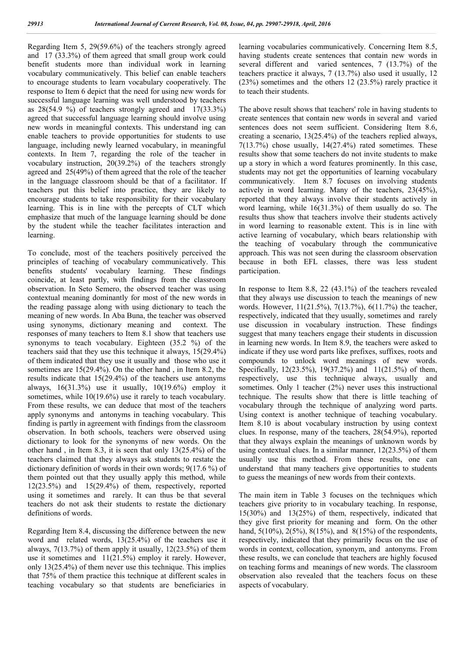Regarding Item 5, 29(59.6%) of the teachers strongly agreed and 17 (33.3%) of them agreed that small group work could benefit students more than individual work in learning vocabulary communicatively. This belief can enable teachers to encourage students to learn vocabulary cooperatively. The response to Item 6 depict that the need for using new words for successful language learning was well understood by teachers as  $28(54.9\%)$  of teachers strongly agreed and  $17(33.3\%)$ agreed that successful language learning should involve using new words in meaningful contexts. This understand ing can enable teachers to provide opportunities for students to use language, including newly learned vocabulary, in meaningful contexts. In Item 7, regarding the role of the teacher in vocabulary instruction, 20(39.2%) of the teachers strongly agreed and 25(49%) of them agreed that the role of the teacher in the language classroom should be that of a facilitator. If teachers put this belief into practice, they are likely to encourage students to take responsibility for their vocabulary learning. This is in line with the percepts of CLT which emphasize that much of the language learning should be done by the student while the teacher facilitates interaction and learning.

To conclude, most of the teachers positively perceived the principles of teaching of vocabulary communicatively. This benefits students' vocabulary learning. These findings coincide, at least partly, with findings from the classroom observation. In Seto Semero, the observed teacher was using contextual meaning dominantly for most of the new words in the reading passage along with using dictionary to teach the meaning of new words. In Aba Buna, the teacher was observed using synonyms, dictionary meaning and context. The responses of many teachers to Item 8.1 show that teachers use synonyms to teach vocabulary. Eighteen (35.2 %) of the teachers said that they use this technique it always, 15(29.4%) of them indicated that they use it usually and those who use it sometimes are 15(29.4%). On the other hand , in Item 8.2, the results indicate that 15(29.4%) of the teachers use antonyms always,  $16(31.3%)$  use it usually,  $10(19.6%)$  employ it sometimes, while  $10(19.6%)$  use it rarely to teach vocabulary. From these results, we can deduce that most of the teachers apply synonyms and antonyms in teaching vocabulary. This finding is partly in agreement with findings from the classroom observation. In both schools, teachers were observed using dictionary to look for the synonyms of new words. On the other hand , in Item 8.3, it is seen that only 13(25.4%) of the teachers claimed that they always ask students to restate the dictionary definition of words in their own words; 9(17.6 %) of them pointed out that they usually apply this method, while  $12(23.5\%)$  and  $15(29.4\%)$  of them, respectively, reported using it sometimes and rarely. It can thus be that several teachers do not ask their students to restate the dictionary definitions of words.

Regarding Item 8.4, discussing the difference between the new word and related words, 13(25.4%) of the teachers use it always,  $7(13.7%)$  of them apply it usually,  $12(23.5%)$  of them use it sometimes and 11(21.5%) employ it rarely. However, only 13(25.4%) of them never use this technique. This implies that 75% of them practice this technique at different scales in teaching vocabulary so that students are beneficiaries in

learning vocabularies communicatively. Concerning Item 8.5, having students create sentences that contain new words in several different and varied sentences, 7 (13.7%) of the teachers practice it always, 7 (13.7%) also used it usually, 12 (23%) sometimes and the others 12 (23.5%) rarely practice it to teach their students.

The above result shows that teachers' role in having students to create sentences that contain new words in several and varied sentences does not seem sufficient. Considering Item 8.6, creating a scenario, 13(25.4%) of the teachers replied always,  $7(13.7%)$  chose usually,  $14(27.4%)$  rated sometimes. These results show that some teachers do not invite students to make up a story in which a word features prominently. In this case, students may not get the opportunities of learning vocabulary communicatively. Item 8.7 focuses on involving students actively in word learning. Many of the teachers, 23(45%), reported that they always involve their students actively in word learning, while 16(31.3%) of them usually do so. The results thus show that teachers involve their students actively in word learning to reasonable extent. This is in line with active learning of vocabulary, which bears relationship with the teaching of vocabulary through the communicative approach. This was not seen during the classroom observation because in both EFL classes, there was less student participation.

In response to Item 8.8, 22 (43.1%) of the teachers revealed that they always use discussion to teach the meanings of new words. However, 11(21.5%), 7(13.7%), 6(11.7%) the teacher, respectively, indicated that they usually, sometimes and rarely use discussion in vocabulary instruction. These findings suggest that many teachers engage their students in discussion in learning new words. In Item 8.9, the teachers were asked to indicate if they use word parts like prefixes, suffixes, roots and compounds to unlock word meanings of new words. Specifically, 12(23.5%), 19(37.2%) and 11(21.5%) of them, respectively, use this technique always, usually and sometimes. Only 1 teacher (2%) never uses this instructional technique. The results show that there is little teaching of vocabulary through the technique of analyzing word parts. Using context is another technique of teaching vocabulary. Item 8.10 is about vocabulary instruction by using context clues. In response, many of the teachers, 28(54.9%), reported that they always explain the meanings of unknown words by using contextual clues. In a similar manner, 12(23.5%) of them usually use this method. From these results, one can understand that many teachers give opportunities to students to guess the meanings of new words from their contexts.

The main item in Table 3 focuses on the techniques which teachers give priority to in vocabulary teaching. In response, 15(30%) and 13(25%) of them, respectively, indicated that they give first priority for meaning and form. On the other hand,  $5(10\%)$ ,  $2(5\%)$ ,  $8(15\%)$ , and  $8(15\%)$  of the respondents, respectively, indicated that they primarily focus on the use of words in context, collocation, synonym, and antonyms. From these results, we can conclude that teachers are highly focused on teaching forms and meanings of new words. The classroom observation also revealed that the teachers focus on these aspects of vocabulary.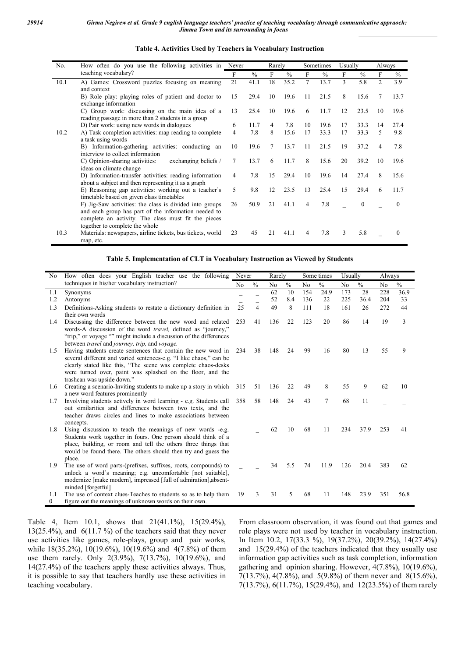| No.  | How often do you use the following activities in                                                                                                                                                         |    | Never | Rarely |               | Sometimes      |               | Usually |          | Always         |          |
|------|----------------------------------------------------------------------------------------------------------------------------------------------------------------------------------------------------------|----|-------|--------|---------------|----------------|---------------|---------|----------|----------------|----------|
|      | teaching vocabulary?                                                                                                                                                                                     | F  | $\%$  | F      | $\frac{0}{0}$ | F              | $\frac{0}{0}$ | F       | $\%$     | F              | $\%$     |
| 10.1 | A) Games: Crossword puzzles focusing on meaning<br>and context                                                                                                                                           | 21 | 41.1  | 18     | 35.2          | $\overline{7}$ | 13.7          | 3       | 5.8      | $\overline{2}$ | 3.9      |
|      | B) Role-play: playing roles of patient and doctor to<br>exchange information                                                                                                                             | 15 | 29.4  | 10     | 19.6          | 11             | 21.5          | 8       | 15.6     |                | 13.7     |
|      | C) Group work: discussing on the main idea of a<br>reading passage in more than 2 students in a group                                                                                                    | 13 | 25.4  | 10     | 19.6          | 6              | 11.7          | 12      | 23.5     | 10             | 19.6     |
|      | D) Pair work: using new words in dialogues                                                                                                                                                               | 6  | 11.7  | 4      | 7.8           | 10             | 19.6          | 17      | 33.3     | 14             | 27.4     |
| 10.2 | A) Task completion activities: map reading to complete<br>a task using words                                                                                                                             | 4  | 7.8   | 8      | 15.6          | 17             | 33.3          | 17      | 33.3     | 5              | 9.8      |
|      | B) Information-gathering activities: conducting an<br>interview to collect information                                                                                                                   | 10 | 19.6  | 7      | 13.7          | 11             | 21.5          | 19      | 37.2     | 4              | 7.8      |
|      | C) Opinion-sharing activities:<br>exchanging beliefs /<br>ideas on climate change                                                                                                                        | 7  | 13.7  | 6      | 11.7          | 8              | 15.6          | 20      | 39.2     | 10             | 19.6     |
|      | D) Information-transfer activities: reading information<br>about a subject and then representing it as a graph                                                                                           | 4  | 7.8   | 15     | 29.4          | 10             | 19.6          | 14      | 27.4     | 8              | 15.6     |
|      | E) Reasoning gap activities: working out a teacher's<br>timetable based on given class timetables                                                                                                        | 5  | 9.8   | 12     | 23.5          | 13             | 25.4          | 15      | 29.4     | 6              | 11.7     |
|      | F) Jig-Saw activities: the class is divided into groups<br>and each group has part of the information needed to<br>complete an activity. The class must fit the pieces<br>together to complete the whole | 26 | 50.9  | 21     | 41.1          | 4              | 7.8           |         | $\Omega$ |                | $\Omega$ |
| 10.3 | Materials: newspapers, airline tickets, bus tickets, world<br>map, etc.                                                                                                                                  | 23 | 45    | 21     | 41.1          | 4              | 7.8           | 3       | 5.8      |                | $\Omega$ |

#### **Table 4. Activities Used by Teachers in Vocabulary Instruction**

| Table 5. Implementation of CLT in Vocabulary Instruction as Viewed by Students |  |
|--------------------------------------------------------------------------------|--|
|                                                                                |  |

| No              | How often does your English teacher use the following                                                                                                                                                                                                                                            | Never          |               | Rarely         |               | Some times     |               | Usually        |               | Always |               |
|-----------------|--------------------------------------------------------------------------------------------------------------------------------------------------------------------------------------------------------------------------------------------------------------------------------------------------|----------------|---------------|----------------|---------------|----------------|---------------|----------------|---------------|--------|---------------|
|                 | techniques in his/her vocabulary instruction?                                                                                                                                                                                                                                                    | N <sub>o</sub> | $\frac{0}{0}$ | N <sub>0</sub> | $\frac{0}{0}$ | N <sub>0</sub> | $\frac{0}{0}$ | N <sub>0</sub> | $\frac{0}{0}$ | No.    | $\frac{0}{0}$ |
| 1.1             | Synonyms                                                                                                                                                                                                                                                                                         |                |               | 62             | 10            | 154            | 24.9          | 173            | 28            | 228    | 36.9          |
| 1.2             | Antonyms                                                                                                                                                                                                                                                                                         |                |               | 52             | 8.4           | 136            | 22            | 225            | 36.4          | 204    | 33            |
| 1.3             | Definitions-Asking students to restate a dictionary definition in<br>their own words                                                                                                                                                                                                             | 25             | 4             | 49             | 8             | 111            | 18            | 161            | 26            | 272    | 44            |
| 1.4             | Discussing the difference between the new word and related<br>words-A discussion of the word <i>travel</i> , defined as "journey,"<br>"trip," or voyage "" might include a discussion of the differences<br>between <i>travel</i> and <i>journey</i> , <i>trip</i> , and <i>voyage</i> .         | 253            | 41            | 136            | 22            | 123            | 20            | 86             | 14            | 19     | 3             |
| 1.5             | Having students create sentences that contain the new word in<br>several different and varied sentences-e.g. "I like chaos," can be<br>clearly stated like this, "The scene was complete chaos-desks<br>were turned over, paint was splashed on the floor, and the<br>trashcan was upside down." | 234            | 38            | 148            | 24            | 99             | 16            | 80             | 13            | 55     | 9             |
| 1.6             | Creating a scenario-Inviting students to make up a story in which 315<br>a new word features prominently                                                                                                                                                                                         |                | 51            | 136            | 22            | 49             | 8             | 55             | 9             | 62     | 10            |
| 1.7             | Involving students actively in word learning - e.g. Students call<br>out similarities and differences between two texts, and the<br>teacher draws circles and lines to make associations between<br>concepts.                                                                                    | 358            | 58            | 148            | 24            | 43             | 7             | 68             | 11            |        |               |
| 1.8             | Using discussion to teach the meanings of new words -e.g.<br>Students work together in fours. One person should think of a<br>place, building, or room and tell the others three things that<br>would be found there. The others should then try and guess the<br>place.                         |                |               | 62             | 10            | 68             | 11            | 234            | 37.9          | 253    | 41            |
| 1.9             | The use of word parts-(prefixes, suffixes, roots, compounds) to<br>unlock a word's meaning; e.g. uncomfortable [not suitable],<br>modernize [make modern], impressed [full of admiration], absent-<br>minded [forgetful]                                                                         |                |               | 34             | 5.5           | 74             | 11.9          | 126            | 20.4          | 383    | 62            |
| 1.1<br>$\Omega$ | The use of context clues-Teaches to students so as to help them<br>figure out the meanings of unknown words on their own.                                                                                                                                                                        | 19             | 3             | 31             | 5             | 68             | 11            | 148            | 23.9          | 351    | 56.8          |

Table 4, Item 10.1, shows that 21(41.1%), 15(29.4%), 13(25.4%), and 6(11.7 %) of the teachers said that they never use activities like games, role-plays, group and pair works, while 18(35.2%), 10(19.6%), 10(19.6%) and 4(7.8%) of them use them rarely. Only 2(3.9%), 7(13.7%), 10(19.6%), and 14(27.4%) of the teachers apply these activities always. Thus, it is possible to say that teachers hardly use these activities in teaching vocabulary.

From classroom observation, it was found out that games and role plays were not used by teacher in vocabulary instruction. In Item 10.2, 17(33.3 %), 19(37.2%), 20(39.2%), 14(27.4%) and 15(29.4%) of the teachers indicated that they usually use information gap activities such as task completion, information gathering and opinion sharing. However, 4(7.8%), 10(19.6%), 7(13.7%), 4(7.8%), and 5(9.8%) of them never and 8(15.6%), 7(13.7%), 6(11.7%), 15(29.4%), and 12(23.5%) of them rarely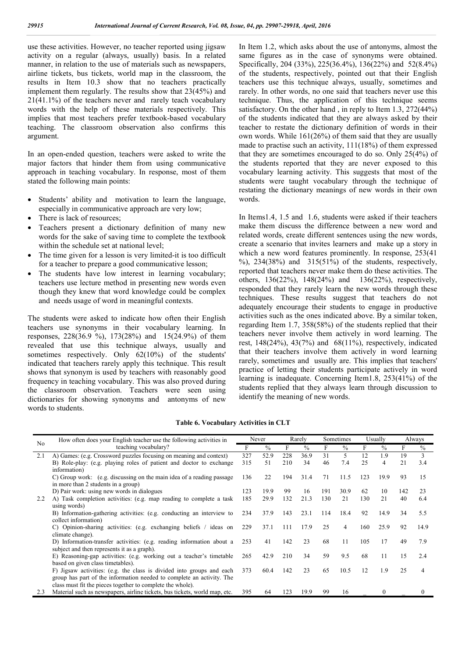use these activities. However, no teacher reported using jigsaw activity on a regular (always, usually) basis. In a related manner, in relation to the use of materials such as newspapers, airline tickets, bus tickets, world map in the classroom, the results in Item 10.3 show that no teachers practically implement them regularly. The results show that 23(45%) and 21(41.1%) of the teachers never and rarely teach vocabulary words with the help of these materials respectively. This implies that most teachers prefer textbook-based vocabulary teaching. The classroom observation also confirms this argument.

In an open-ended question, teachers were asked to write the major factors that hinder them from using communicative approach in teaching vocabulary. In response, most of them stated the following main points:

- Students' ability and motivation to learn the language, especially in communicative approach are very low;
- There is lack of resources;
- Teachers present a dictionary definition of many new words for the sake of saving time to complete the textbook within the schedule set at national level:
- The time given for a lesson is very limited-it is too difficult for a teacher to prepare a good communicative lesson;
- The students have low interest in learning vocabulary; teachers use lecture method in presenting new words even though they knew that word knowledge could be complex and needs usage of word in meaningful contexts.

The students were asked to indicate how often their English teachers use synonyms in their vocabulary learning. In responses, 228(36.9 %), 173(28%) and 15(24.9%) of them revealed that use this technique always, usually and sometimes respectively. Only 62(10%) of the students' indicated that teachers rarely apply this technique. This result shows that synonym is used by teachers with reasonably good frequency in teaching vocabulary. This was also proved during the classroom observation. Teachers were seen using dictionaries for showing synonyms and antonyms of new words to students.

In Item 1.2, which asks about the use of antonyms, almost the same figures as in the case of synonyms were obtained. Specifically, 204 (33%), 225(36.4%), 136(22%) and 52(8.4%) of the students, respectively, pointed out that their English teachers use this technique always, usually, sometimes and rarely. In other words, no one said that teachers never use this technique. Thus, the application of this technique seems satisfactory. On the other hand , in reply to Item 1.3, 272(44%) of the students indicated that they are always asked by their teacher to restate the dictionary definition of words in their own words. While 161(26%) of them said that they are usually made to practise such an activity, 111(18%) of them expressed that they are sometimes encouraged to do so. Only 25(4%) of the students reported that they are never exposed to this vocabulary learning activity. This suggests that most of the students were taught vocabulary through the technique of restating the dictionary meanings of new words in their own words.

In Items1.4, 1.5 and 1.6, students were asked if their teachers make them discuss the difference between a new word and related words, create different sentences using the new words, create a scenario that invites learners and make up a story in which a new word features prominently. In response, 253(41 %),  $234(38\%)$  and  $315(51\%)$  of the students, respectively, reported that teachers never make them do these activities. The others, 136(22%), 148(24%) and 136(22%), respectively, responded that they rarely learn the new words through these techniques. These results suggest that teachers do not adequately encourage their students to engage in productive activities such as the ones indicated above. By a similar token, regarding Item 1.7, 358(58%) of the students replied that their teachers never involve them actively in word learning. The rest,  $148(24\%)$ ,  $43(7\%)$  and  $68(11\%)$ , respectively, indicated that their teachers involve them actively in word learning rarely, sometimes and usually are. This implies that teachers' practice of letting their students participate actively in word learning is inadequate. Concerning Item1.8, 253(41%) of the students replied that they always learn through discussion to identify the meaning of new words.

**Table 6. Vocabulary Activities in CLT**

|                | How often does your English teacher use the following activities in        |     | Never         |     | Rarely        |     | Sometimes     |     | Usually       |     | Always        |
|----------------|----------------------------------------------------------------------------|-----|---------------|-----|---------------|-----|---------------|-----|---------------|-----|---------------|
| N <sub>0</sub> | teaching vocabulary?                                                       | F   | $\frac{0}{0}$ | F   | $\frac{0}{0}$ | F   | $\frac{0}{0}$ | F   | $\frac{0}{0}$ | F   | $\frac{0}{0}$ |
| 2.1            | A) Games: (e.g. Crossword puzzles focusing on meaning and context)         | 327 | 52.9          | 228 | 36.9          | 31  | 5             | 12  | 1.9           | 19  | 3             |
|                | B) Role-play: (e.g. playing roles of patient and doctor to exchange        | 315 | 51            | 210 | 34            | 46  | 7.4           | 25  | 4             | 21  | 3.4           |
|                | information)                                                               |     |               |     |               |     |               |     |               |     |               |
|                | C) Group work: (e.g. discussing on the main idea of a reading passage      | 136 | 22            | 194 | 31.4          | 71  | 11.5          | 123 | 19.9          | 93  | 15            |
|                | in more than 2 students in a group)                                        |     |               |     |               |     |               |     |               |     |               |
|                | D) Pair work: using new words in dialogues                                 | 123 | 19.9          | 99  | 16            | 191 | 30.9          | 62  | 10            | 142 | 23            |
| 2.2            | A) Task completion activities: (e.g. map reading to complete a task        | 185 | 29.9          | 132 | 21.3          | 130 | 21            | 130 | 21            | 40  | 6.4           |
|                | using words)                                                               |     |               |     |               |     |               |     |               |     |               |
|                | B) Information-gathering activities: (e.g. conducting an interview to      | 234 | 37.9          | 143 | 23.1          | 114 | 18.4          | 92  | 14.9          | 34  | 5.5           |
|                | collect information)                                                       |     |               |     |               |     |               |     |               |     |               |
|                | C) Opinion-sharing activities: (e.g. exchanging beliefs / ideas on         | 229 | 37.1          | 111 | 17.9          | 25  | 4             | 160 | 25.9          | 92  | 14.9          |
|                | climate change).                                                           |     |               |     |               |     |               |     |               |     |               |
|                | D) Information-transfer activities: (e.g. reading information about a      | 253 | 41            | 142 | 23            | 68  | 11            | 105 | 17            | 49  | 7.9           |
|                | subject and then represents it as a graph).                                |     |               |     |               |     |               |     |               |     |               |
|                | E) Reasoning-gap activities: (e.g. working out a teacher's timetable       | 265 | 42.9          | 210 | 34            | 59  | 9.5           | 68  | 11            | 15  | 2.4           |
|                | based on given class timetables).                                          |     |               |     |               |     |               |     |               |     |               |
|                | F) Jigsaw activities: (e.g. the class is divided into groups and each      | 373 | 60.4          | 142 | 23            | 65  | 10.5          | 12  | 1.9           | 25  | 4             |
|                | group has part of the information needed to complete an activity. The      |     |               |     |               |     |               |     |               |     |               |
|                | class must fit the pieces together to complete the whole).                 |     |               |     |               |     |               |     |               |     |               |
| 2.3            | Material such as newspapers, airline tickets, bus tickets, world map, etc. | 395 | 64            | 123 | 19.9          | 99  | 16            |     | $\Omega$      |     |               |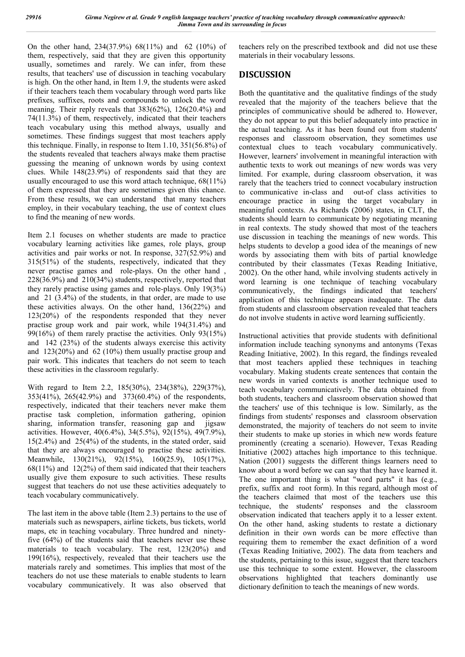On the other hand, 234(37.9%) 68(11%) and 62 (10%) of them, respectively, said that they are given this opportunity usually, sometimes and rarely. We can infer, from these results, that teachers' use of discussion in teaching vocabulary is high. On the other hand, in Item 1.9, the students were asked if their teachers teach them vocabulary through word parts like prefixes, suffixes, roots and compounds to unlock the word meaning. Their reply reveals that 383(62%), 126(20.4%) and 74(11.3%) of them, respectively, indicated that their teachers teach vocabulary using this method always, usually and sometimes. These findings suggest that most teachers apply this technique. Finally, in response to Item 1.10, 351(56.8%) of the students revealed that teachers always make them practise guessing the meaning of unknown words by using context clues. While 148(23.9%) of respondents said that they are usually encouraged to use this word attach technique, 68(11%) of them expressed that they are sometimes given this chance. From these results, we can understand that many teachers employ, in their vocabulary teaching, the use of context clues to find the meaning of new words.

Item 2.1 focuses on whether students are made to practice vocabulary learning activities like games, role plays, group activities and pair works or not. In response, 327(52.9%) and 315(51%) of the students, respectively, indicated that they never practise games and role-plays. On the other hand , 228(36.9%) and 210(34%) students, respectively, reported that they rarely practise using games and role-plays. Only 19(3%) and 21 (3.4%) of the students, in that order, are made to use these activities always. On the other hand, 136(22%) and 123(20%) of the respondents responded that they never practise group work and pair work, while 194(31.4%) and 99(16%) of them rarely practise the activities. Only 93(15%) and 142 (23%) of the students always exercise this activity and 123(20%) and 62 (10%) them usually practise group and pair work. This indicates that teachers do not seem to teach these activities in the classroom regularly.

With regard to Item 2.2, 185(30%), 234(38%), 229(37%), 353(41%), 265(42.9%) and 373(60.4%) of the respondents, respectively, indicated that their teachers never make them practise task completion, information gathering, opinion sharing, information transfer, reasoning gap and jigsaw activities. However, 40(6.4%), 34(5.5%), 92(15%), 49(7.9%), 15(2.4%) and 25(4%) of the students, in the stated order, said that they are always encouraged to practise these activities. Meanwhile, 130(21%), 92(15%), 160(25.9), 105(17%),  $68(11\%)$  and  $12(2\%)$  of them said indicated that their teachers usually give them exposure to such activities. These results suggest that teachers do not use these activities adequately to teach vocabulary communicatively.

The last item in the above table (Item 2.3) pertains to the use of materials such as newspapers, airline tickets, bus tickets, world maps, etc in teaching vocabulary. Three hundred and ninetyfive (64%) of the students said that teachers never use these materials to teach vocabulary. The rest, 123(20%) and 199(16%), respectively, revealed that their teachers use the materials rarely and sometimes. This implies that most of the teachers do not use these materials to enable students to learn vocabulary communicatively. It was also observed that

teachers rely on the prescribed textbook and did not use these materials in their vocabulary lessons.

# **DISCUSSION**

Both the quantitative and the qualitative findings of the study revealed that the majority of the teachers believe that the principles of communicative should be adhered to. However, they do not appear to put this belief adequately into practice in the actual teaching. As it has been found out from students' responses and classroom observation, they sometimes use contextual clues to teach vocabulary communicatively. However, learners' involvement in meaningful interaction with authentic texts to work out meanings of new words was very limited. For example, during classroom observation, it was rarely that the teachers tried to connect vocabulary instruction to communicative in-class and out-of class activities to encourage practice in using the target vocabulary in meaningful contexts. As Richards (2006) states, in CLT, the students should learn to communicate by negotiating meaning in real contexts. The study showed that most of the teachers use discussion in teaching the meanings of new words. This helps students to develop a good idea of the meanings of new words by associating them with bits of partial knowledge contributed by their classmates (Texas Reading Initiative, 2002). On the other hand, while involving students actively in word learning is one technique of teaching vocabulary communicatively, the findings indicated that teachers' application of this technique appears inadequate. The data from students and classroom observation revealed that teachers do not involve students in active word learning sufficiently.

Instructional activities that provide students with definitional information include teaching synonyms and antonyms (Texas Reading Initiative, 2002). In this regard, the findings revealed that most teachers applied these techniques in teaching vocabulary. Making students create sentences that contain the new words in varied contexts is another technique used to teach vocabulary communicatively. The data obtained from both students, teachers and classroom observation showed that the teachers' use of this technique is low. Similarly, as the findings from students' responses and classroom observation demonstrated, the majority of teachers do not seem to invite their students to make up stories in which new words feature prominently (creating a scenario). However, Texas Reading Initiative (2002) attaches high importance to this technique. Nation (2001) suggests the different things learners need to know about a word before we can say that they have learned it. The one important thing is what "word parts" it has (e.g., prefix, suffix and root form). In this regard, although most of the teachers claimed that most of the teachers use this technique, the students' responses and the classroom observation indicated that teachers apply it to a lesser extent. On the other hand, asking students to restate a dictionary definition in their own words can be more effective than requiring them to remember the exact definition of a word (Texas Reading Initiative, 2002). The data from teachers and the students, pertaining to this issue, suggest that there teachers use this technique to some extent. However, the classroom observations highlighted that teachers dominantly use dictionary definition to teach the meanings of new words.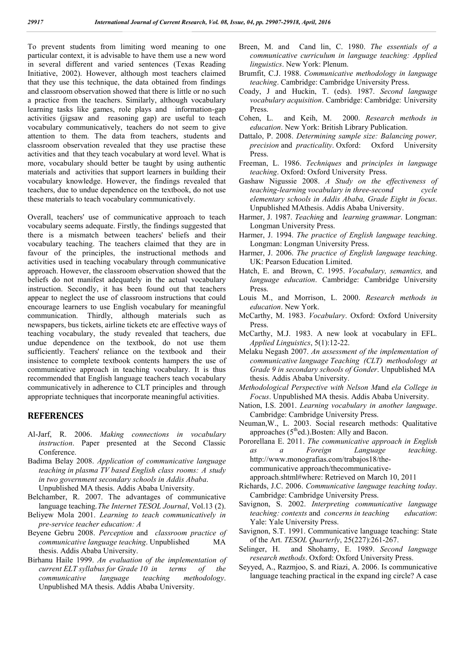To prevent students from limiting word meaning to one particular context, it is advisable to have them use a new word in several different and varied sentences (Texas Reading Initiative, 2002). However, although most teachers claimed that they use this technique, the data obtained from findings and classroom observation showed that there is little or no such a practice from the teachers. Similarly, although vocabulary learning tasks like games, role plays and information-gap activities (jigsaw and reasoning gap) are useful to teach vocabulary communicatively, teachers do not seem to give attention to them. The data from teachers, students and classroom observation revealed that they use practise these activities and that they teach vocabulary at word level. What is more, vocabulary should better be taught by using authentic materials and activities that support learners in building their vocabulary knowledge. However, the findings revealed that teachers, due to undue dependence on the textbook, do not use these materials to teach vocabulary communicatively.

Overall, teachers' use of communicative approach to teach vocabulary seems adequate. Firstly, the findings suggested that there is a mismatch between teachers' beliefs and their vocabulary teaching. The teachers claimed that they are in favour of the principles, the instructional methods and activities used in teaching vocabulary through communicative approach. However, the classroom observation showed that the beliefs do not manifest adequately in the actual vocabulary instruction. Secondly, it has been found out that teachers appear to neglect the use of classroom instructions that could encourage learners to use English vocabulary for meaningful communication. Thirdly, although materials such as newspapers, bus tickets, airline tickets etc are effective ways of teaching vocabulary, the study revealed that teachers, due undue dependence on the textbook, do not use them sufficiently. Teachers' reliance on the textbook and their insistence to complete textbook contents hampers the use of communicative approach in teaching vocabulary. It is thus recommended that English language teachers teach vocabulary communicatively in adherence to CLT principles and through appropriate techniques that incorporate meaningful activities.

## **REFERENCES**

- Al-Jarf, R. 2006. *Making connections in vocabulary instruction*. Paper presented at the Second Classic Conference.
- Badima Belay 2008. *Application of communicative language teaching in plasma TV based English class rooms: A study in two government secondary schools in Addis Ababa*. Unpublished MA thesis. Addis Ababa University.
- Belchamber, R. 2007. The advantages of communicative language teaching.*The Internet TESOL Journal*, Vol.13 (2).
- Beliyew Mola 2001. *Learning to teach communicatively in pre-service teacher education: A*
- Beyene Gebru 2008. *Perception* and *classroom practice of communicative language teaching*. Unpublished MA thesis. Addis Ababa University.
- Birhanu Haile 1999. *An evaluation of the implementation of current ELT syllabus for Grade 10 in terms of the communicative language teaching methodology*. Unpublished MA thesis. Addis Ababa University.
- Breen, M. and Cand lin, C. 1980. *The essentials of a communicative curriculum in language teaching: Applied linguistics*. New York: Plenum.
- Brumfit, C.J. 1988. *Communicative methodology in language teaching*. Cambridge: Cambridge University Press.
- Coady, J and Huckin, T. (eds). 1987. *Second language vocabulary acquisition*. Cambridge: Cambridge: University Press.
- Cohen, L. and Keih, M. 2000. *Research methods in education*. New York: British Library Publication.
- Dattalo, P. 2008. *Determining sample size: Balancing power, precision* and *practicality*. Oxford: Oxford University Press.
- Freeman, L. 1986. *Techniques* and *principles in language teaching*. Oxford: Oxford University Press.
- Gashaw Nigussie 2008. *A Study on the effectiveness of teaching-learning vocabulary in three-second cycle elementary schools in Addis Ababa, Grade Eight in focus*. Unpublished MAthesis. Addis Ababa University.
- Harmer, J. 1987. *Teaching* and *learning grammar*. Longman: Longman University Press.
- Harmer, J. 1994. *The practice of English language teaching*. Longman: Longman University Press.
- Harmer, J. 2006. *The practice of English language teaching*. UK: Pearson Education Limited.
- Hatch, E. and Brown, C. 1995. *Vocabulary, semantics,* and *language education*. Cambridge: Cambridge University Press.
- Louis M., and Morrison, L. 2000. *Research methods in education*. New York.
- McCarthy, M. 1983. *Vocabulary*. Oxford: Oxford University Press.
- McCarthy, M.J. 1983. A new look at vocabulary in EFL. *Applied Linguistics*, 5(1):12-22.
- Melaku Negash 2007. *An assessment of the implementation of communicative language Teaching (CLT) methodology at Grade 9 in secondary schools of Gonder*. Unpublished MA thesis. Addis Ababa University.
- *Methodological Perspective with Nelson M*and *ela College in Focus*. Unpublished MA thesis. Addis Ababa University.
- Nation, I.S. 2001. *Learning vocabulary in another language*. Cambridge: Cambridge University Press.
- Neuman,W., L. 2003. Social research methods: Qualitative approaches (5<sup>th</sup>ed.).Bosten: Ally and Bacon.
- Pororellana E. 2011. *The communicative approach in English as a Foreign Language teaching*. http://www.monografias.com/trabajos18/thecommunicative approach/thecommunicativeapproach.shtml#where: Retrieved on March 10, 2011
- Richards, J.C. 2006. *Communicative language teaching today*. Cambridge: Cambridge University Press.
- Savignon, S. 2002. *Interpreting communicative language teaching: contexts* and *concerns in teaching education*: Yale: Yale University Press.
- Savignon, S.T. 1991. Communicative language teaching: State of the Art. *TESOL Quarterly*, 25(227):261-267.
- Selinger, H. and Shohamy, E. 1989. *Second language research methods*. Oxford: Oxford University Press.
- Seyyed, A., Razmjoo, S. and Riazi, A. 2006. Is communicative language teaching practical in the expand ing circle? A case